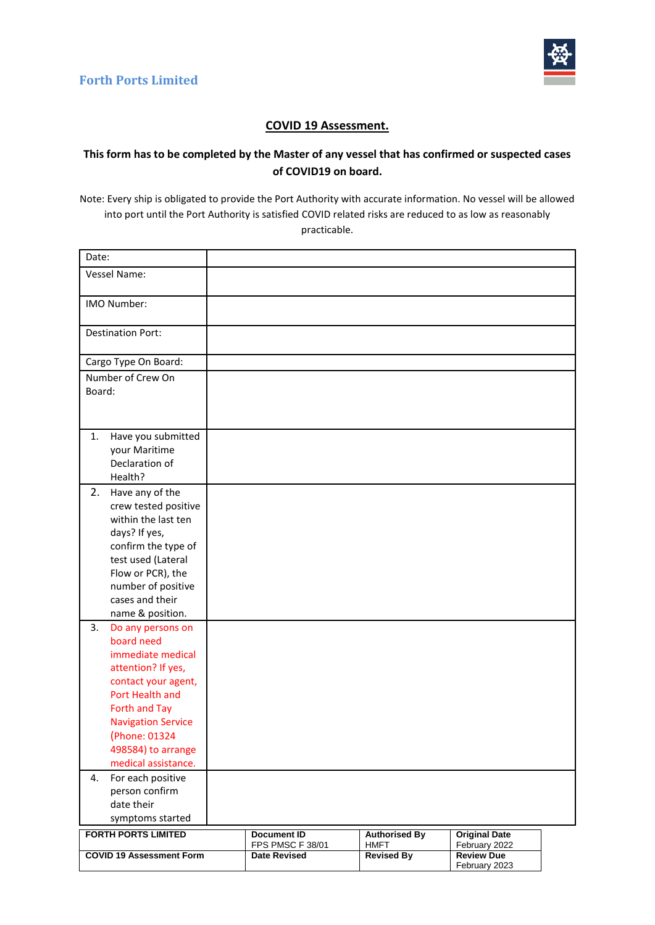

#### **COVID 19 Assessment.**

#### **This form has to be completed by the Master of any vessel that has confirmed or suspected cases of COVID19 on board.**

Note: Every ship is obligated to provide the Port Authority with accurate information. No vessel will be allowed into port until the Port Authority is satisfied COVID related risks are reduced to as low as reasonably practicable.

| Date:                                                                                                                                                                                                                                                                                                                 |                                                               |                                                          |                                                                             |
|-----------------------------------------------------------------------------------------------------------------------------------------------------------------------------------------------------------------------------------------------------------------------------------------------------------------------|---------------------------------------------------------------|----------------------------------------------------------|-----------------------------------------------------------------------------|
| Vessel Name:                                                                                                                                                                                                                                                                                                          |                                                               |                                                          |                                                                             |
| <b>IMO Number:</b>                                                                                                                                                                                                                                                                                                    |                                                               |                                                          |                                                                             |
| <b>Destination Port:</b>                                                                                                                                                                                                                                                                                              |                                                               |                                                          |                                                                             |
| Cargo Type On Board:                                                                                                                                                                                                                                                                                                  |                                                               |                                                          |                                                                             |
| Number of Crew On<br>Board:                                                                                                                                                                                                                                                                                           |                                                               |                                                          |                                                                             |
| Have you submitted<br>1.<br>your Maritime<br>Declaration of<br>Health?                                                                                                                                                                                                                                                |                                                               |                                                          |                                                                             |
| 2.<br>Have any of the<br>crew tested positive<br>within the last ten<br>days? If yes,<br>confirm the type of<br>test used (Lateral<br>Flow or PCR), the<br>number of positive<br>cases and their<br>name & position.                                                                                                  |                                                               |                                                          |                                                                             |
| 3.<br>Do any persons on<br>board need<br>immediate medical<br>attention? If yes,<br>contact your agent,<br>Port Health and<br>Forth and Tay<br><b>Navigation Service</b><br>(Phone: 01324<br>498584) to arrange<br>medical assistance.<br>4.<br>For each positive<br>person confirm<br>date their<br>symptoms started |                                                               |                                                          |                                                                             |
| <b>FORTH PORTS LIMITED</b><br><b>COVID 19 Assessment Form</b>                                                                                                                                                                                                                                                         | <b>Document ID</b><br>FPS PMSC F 38/01<br><b>Date Revised</b> | <b>Authorised By</b><br><b>HMFT</b><br><b>Revised By</b> | <b>Original Date</b><br>February 2022<br><b>Review Due</b><br>February 2023 |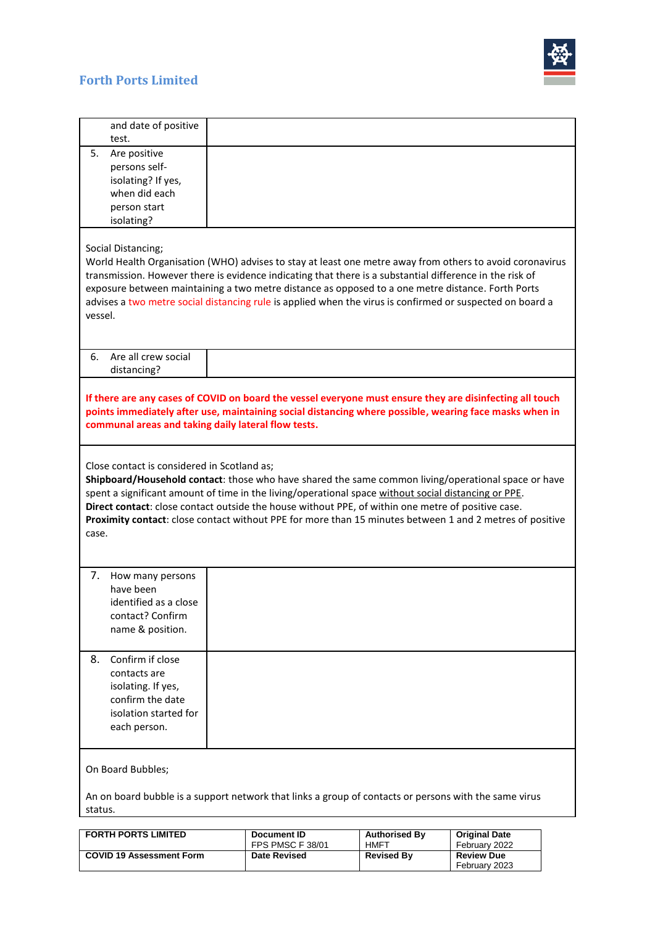

# **Forth Ports Limited**

| and date of positive<br>test.                                                                                                                                                                                                                                                                                                                                                                                                                                                         |                                                                                                                                                                                                                                                                                                                                                                                                                                        |                      |                      |  |  |
|---------------------------------------------------------------------------------------------------------------------------------------------------------------------------------------------------------------------------------------------------------------------------------------------------------------------------------------------------------------------------------------------------------------------------------------------------------------------------------------|----------------------------------------------------------------------------------------------------------------------------------------------------------------------------------------------------------------------------------------------------------------------------------------------------------------------------------------------------------------------------------------------------------------------------------------|----------------------|----------------------|--|--|
| 5.<br>Are positive<br>persons self-<br>isolating? If yes,<br>when did each<br>person start<br>isolating?                                                                                                                                                                                                                                                                                                                                                                              |                                                                                                                                                                                                                                                                                                                                                                                                                                        |                      |                      |  |  |
| Social Distancing;<br>vessel.                                                                                                                                                                                                                                                                                                                                                                                                                                                         | World Health Organisation (WHO) advises to stay at least one metre away from others to avoid coronavirus<br>transmission. However there is evidence indicating that there is a substantial difference in the risk of<br>exposure between maintaining a two metre distance as opposed to a one metre distance. Forth Ports<br>advises a two metre social distancing rule is applied when the virus is confirmed or suspected on board a |                      |                      |  |  |
| Are all crew social<br>6.<br>distancing?                                                                                                                                                                                                                                                                                                                                                                                                                                              |                                                                                                                                                                                                                                                                                                                                                                                                                                        |                      |                      |  |  |
| If there are any cases of COVID on board the vessel everyone must ensure they are disinfecting all touch<br>points immediately after use, maintaining social distancing where possible, wearing face masks when in<br>communal areas and taking daily lateral flow tests.                                                                                                                                                                                                             |                                                                                                                                                                                                                                                                                                                                                                                                                                        |                      |                      |  |  |
| Close contact is considered in Scotland as;<br>Shipboard/Household contact: those who have shared the same common living/operational space or have<br>spent a significant amount of time in the living/operational space without social distancing or PPE.<br>Direct contact: close contact outside the house without PPE, of within one metre of positive case.<br>Proximity contact: close contact without PPE for more than 15 minutes between 1 and 2 metres of positive<br>case. |                                                                                                                                                                                                                                                                                                                                                                                                                                        |                      |                      |  |  |
| How many persons<br>7.<br>have been<br>identified as a close<br>contact? Confirm<br>name & position.                                                                                                                                                                                                                                                                                                                                                                                  |                                                                                                                                                                                                                                                                                                                                                                                                                                        |                      |                      |  |  |
| Confirm if close<br>8.<br>contacts are<br>isolating. If yes,<br>confirm the date<br>isolation started for<br>each person.                                                                                                                                                                                                                                                                                                                                                             |                                                                                                                                                                                                                                                                                                                                                                                                                                        |                      |                      |  |  |
| On Board Bubbles;                                                                                                                                                                                                                                                                                                                                                                                                                                                                     |                                                                                                                                                                                                                                                                                                                                                                                                                                        |                      |                      |  |  |
| An on board bubble is a support network that links a group of contacts or persons with the same virus<br>status.                                                                                                                                                                                                                                                                                                                                                                      |                                                                                                                                                                                                                                                                                                                                                                                                                                        |                      |                      |  |  |
| <b>FORTH PORTS LIMITED</b>                                                                                                                                                                                                                                                                                                                                                                                                                                                            | <b>Document ID</b>                                                                                                                                                                                                                                                                                                                                                                                                                     | <b>Authorised By</b> | <b>Original Date</b> |  |  |

| <b>FORTH PORTS LIMITED</b>      | Document ID         | <b>Authorised By</b> | <b>Original Date</b>               |
|---------------------------------|---------------------|----------------------|------------------------------------|
|                                 | FPS PMSC F 38/01    | HMFT                 | February 2022                      |
| <b>COVID 19 Assessment Form</b> | <b>Date Revised</b> | <b>Revised By</b>    | <b>Review Due</b><br>February 2023 |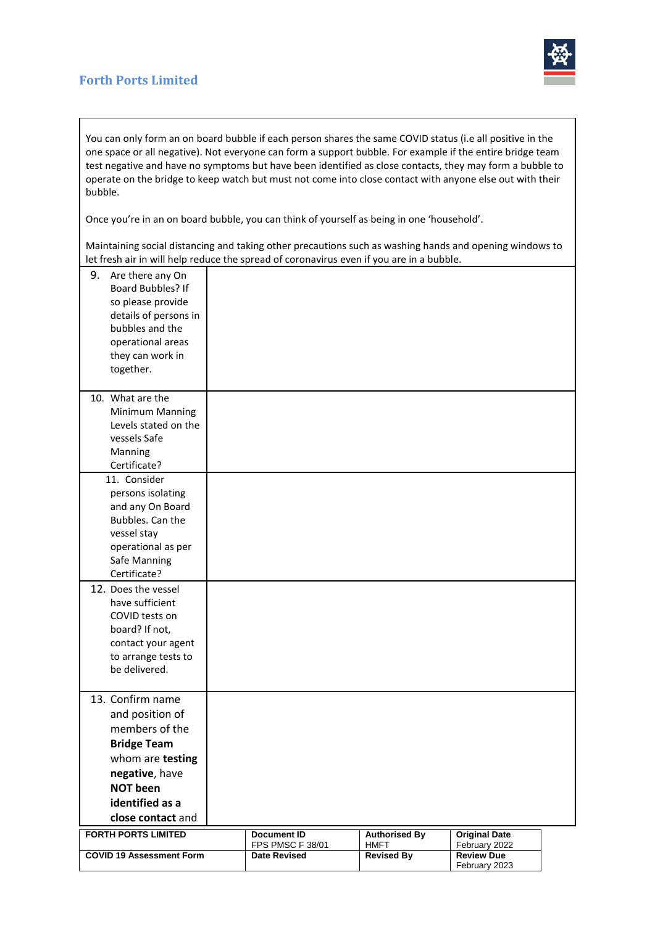### **Forth Ports Limited**



You can only form an on board bubble if each person shares the same COVID status (i.e all positive in the one space or all negative). Not everyone can form a support bubble. For example if the entire bridge team test negative and have no symptoms but have been identified as close contacts, they may form a bubble to operate on the bridge to keep watch but must not come into close contact with anyone else out with their bubble.

Once you're in an on board bubble, you can think of yourself as being in one 'household'.

Maintaining social distancing and taking other precautions such as washing hands and opening windows to let fresh air in will help reduce the spread of coronavirus even if you are in a bubble.

| 9.<br>Are there any On<br><b>Board Bubbles? If</b><br>so please provide<br>details of persons in<br>bubbles and the<br>operational areas<br>they can work in<br>together.    |                                                               |                                                          |                                                            |  |
|------------------------------------------------------------------------------------------------------------------------------------------------------------------------------|---------------------------------------------------------------|----------------------------------------------------------|------------------------------------------------------------|--|
| 10. What are the<br>Minimum Manning<br>Levels stated on the<br>vessels Safe<br>Manning<br>Certificate?                                                                       |                                                               |                                                          |                                                            |  |
| 11. Consider<br>persons isolating<br>and any On Board<br>Bubbles. Can the<br>vessel stay<br>operational as per<br>Safe Manning<br>Certificate?                               |                                                               |                                                          |                                                            |  |
| 12. Does the vessel<br>have sufficient<br>COVID tests on<br>board? If not,<br>contact your agent<br>to arrange tests to<br>be delivered.                                     |                                                               |                                                          |                                                            |  |
| 13. Confirm name<br>and position of<br>members of the<br><b>Bridge Team</b><br>whom are testing<br>negative, have<br><b>NOT been</b><br>identified as a<br>close contact and |                                                               |                                                          |                                                            |  |
| <b>FORTH PORTS LIMITED</b><br><b>COVID 19 Assessment Form</b>                                                                                                                | <b>Document ID</b><br>FPS PMSC F 38/01<br><b>Date Revised</b> | <b>Authorised By</b><br><b>HMFT</b><br><b>Revised By</b> | <b>Original Date</b><br>February 2022<br><b>Review Due</b> |  |
|                                                                                                                                                                              |                                                               |                                                          | February 2023                                              |  |